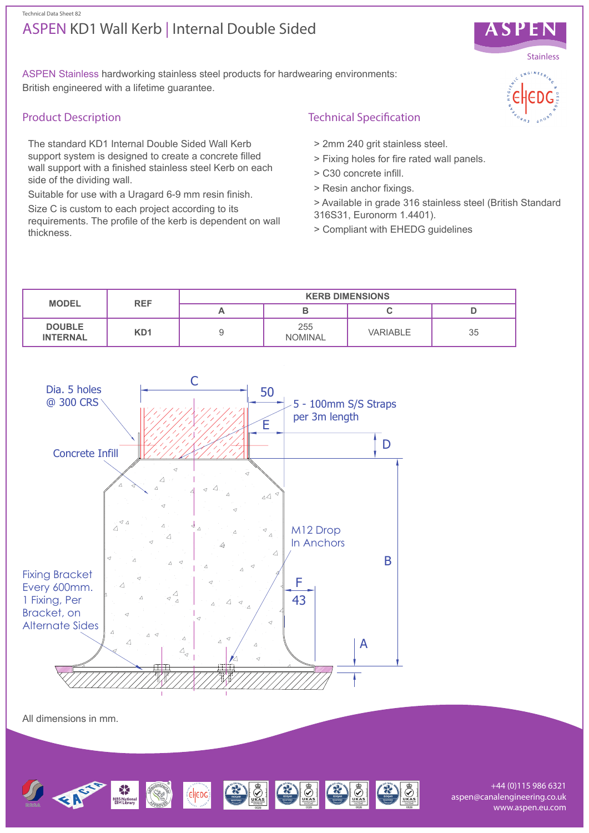# ASPEN KD1 Wall Kerb | Internal Double Sided Technical Data Sheet 82



ASPEN Stainless hardworking stainless steel products for hardwearing environments: British engineered with a lifetime guarantee.

# Product Description

The standard KD1 Internal Double Sided Wall Kerb support system is designed to create a concrete filled wall support with a finished stainless steel Kerb on each side of the dividing wall.

Suitable for use with a Uragard 6-9 mm resin finish.

Size C is custom to each project according to its requirements. The profile of the kerb is dependent on wall thickness.

# Technical Specification

- > 2mm 240 grit stainless steel.
- > Fixing holes for fire rated wall panels.
- > C30 concrete infill.
- > Resin anchor fixings.
- > Available in grade 316 stainless steel (British Standard 316S31, Euronorm 1.4401).
- > Compliant with EHEDG guidelines





All dimensions in mm.



+44 (0)115 986 6321 aspen@canalengineering.co.uk www.aspen.eu.com